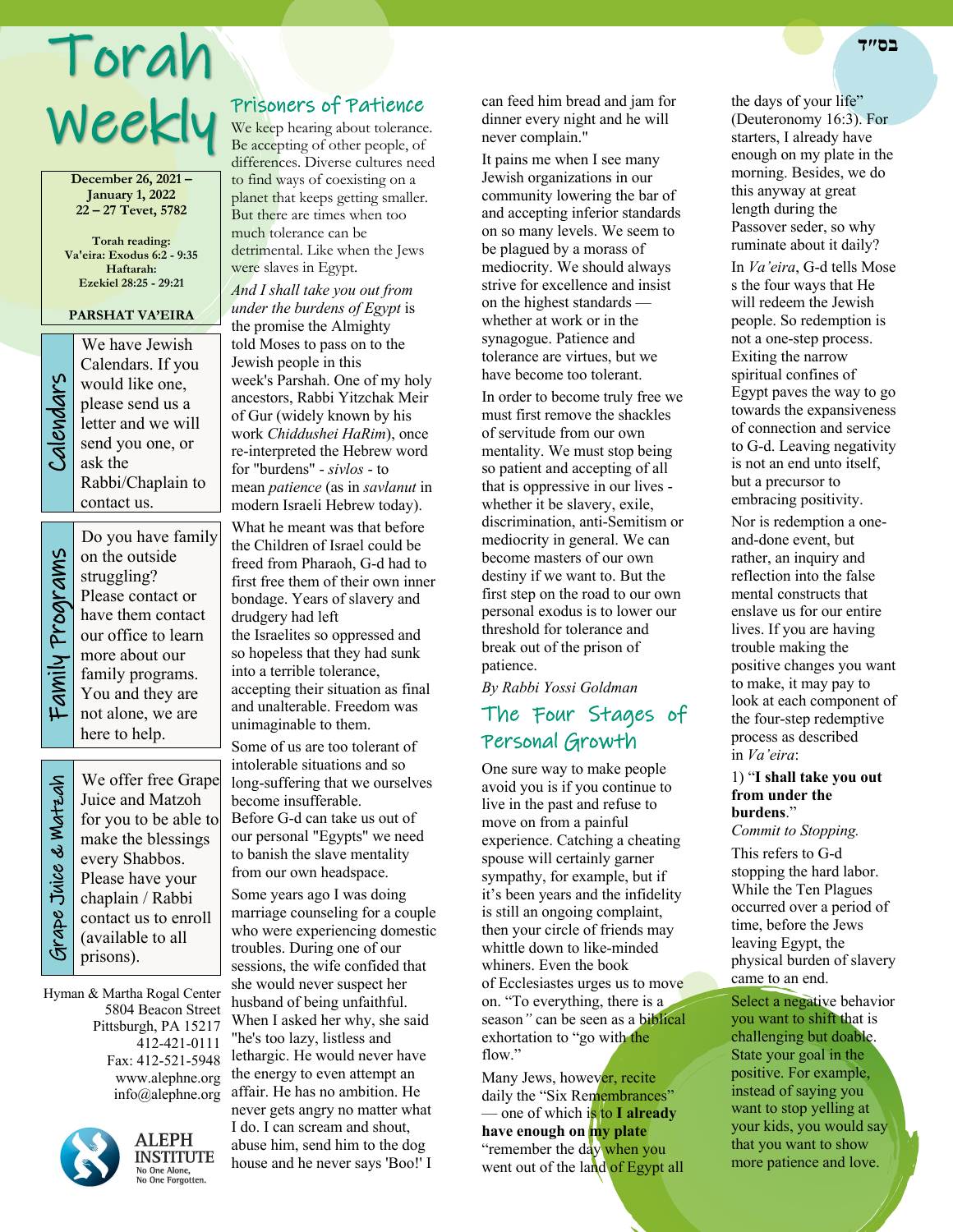# Torah Weekly

**December 26, 2021 – January 1, 2022 22 – 27 Tevet, 5782**

**Torah reading: Va'eira: Exodus 6:2 - 9:35 Haftarah: Ezekiel 28:25 - 29:21**

## **PARSHAT VA'EIRA**

We have Jewish<br>Calendars. If you<br>would like one,<br>please send us a<br>letter and we will<br>send you one, or<br>ask the Calendars. If you would like one, please send us a letter and we will send you one, or ask the Rabbi/Chaplain to contact us.

Family Programs Family Programs

Do you have family on the outside struggling? Please contact or have them contact our office to learn more about our family programs. You and they are not alone, we are here to help.

 Grape Juice & Matzah Grape Juice & Watzah

We offer free Grape Juice and Matzoh for you to be able to make the blessings every Shabbos. Please have your chaplain / Rabbi contact us to enroll (available to all prisons).

Hyman & Martha Rogal Center 5804 Beacon Street Pittsburgh, PA 15217 412-421-0111 Fax: 412-521-5948 www.alephne.org info@alephne.org



**ALEPH INSTITUTE** No One Alone,<br>No One Alone,<br>No One Forgotten.

# Prisoners of Patience

We keep hearing about tolerance. Be accepting of other people, of differences. Diverse cultures need to find ways of coexisting on a planet that keeps getting smaller. But there are times when too much tolerance can be detrimental. Like when the Jews were slaves in Egypt.

*And I shall take you out from under the burdens of Egypt* is the promise the Almighty told Moses to pass on to the Jewish people in this week's Parshah. One of my holy ancestors, Rabbi Yitzchak Meir of Gur (widely known by his work *Chiddushei HaRim*), once re-interpreted the Hebrew word for "burdens" - *sivlos* - to mean *patience* (as in *savlanut* in modern Israeli Hebrew today).

What he meant was that before the Children of Israel could be freed from Pharaoh, G-d had to first free them of their own inner bondage. Years of slavery and drudgery had left the Israelites so oppressed and so hopeless that they had sunk into a terrible tolerance, accepting their situation as final and unalterable. Freedom was unimaginable to them.

Some of us are too tolerant of intolerable situations and so long-suffering that we ourselves become insufferable. Before G-d can take us out of our personal "Egypts" we need to banish the slave mentality from our own headspace.

Some years ago I was doing marriage counseling for a couple who were experiencing domestic troubles. During one of our sessions, the wife confided that she would never suspect her husband of being unfaithful. When I asked her why, she said "he's too lazy, listless and lethargic. He would never have the energy to even attempt an affair. He has no ambition. He never gets angry no matter what I do. I can scream and shout, abuse him, send him to the dog house and he never says 'Boo!' I

can feed him bread and jam for dinner every night and he will never complain."

It pains me when I see many Jewish organizations in our community lowering the bar of and accepting inferior standards on so many levels. We seem to be plagued by a morass of mediocrity. We should always strive for excellence and insist on the highest standards whether at work or in the synagogue. Patience and tolerance are virtues, but we have become too tolerant.

In order to become truly free we must first remove the shackles of servitude from our own mentality. We must stop being so patient and accepting of all that is oppressive in our lives whether it be slavery, exile, discrimination, anti-Semitism or mediocrity in general. We can become masters of our own destiny if we want to. But the first step on the road to our own personal exodus is to lower our threshold for tolerance and break out of the prison of patience.

*By Rabbi Yossi Goldman*

# The Four Stages of Personal Growth

One sure way to make people avoid you is if you continue to live in the past and refuse to move on from a painful experience. Catching a cheating spouse will certainly garner sympathy, for example, but if it's been years and the infidelity is still an ongoing complaint, then your circle of friends may whittle down to like-minded whiners. Even the book of Ecclesiastes urges us to move on. "To everything, there is a season*"* can be seen as a biblical exhortation to "go with the flow."

Many Jews, however, recite daily the "Six Remembrances" — one of which is to **I already have enough on my plate** "remember the day when you went out of the land of Egypt all the days of your life" (Deuteronomy 16:3). For starters, I already have enough on my plate in the morning. Besides, we do this anyway at great length during the Passover seder, so why ruminate about it daily?

In *Va'eira*, G-d tells Mose s the four ways that He will redeem the Jewish people. So redemption is not a one-step process. Exiting the narrow spiritual confines of Egypt paves the way to go towards the expansiveness of connection and service to G-d. Leaving negativity is not an end unto itself, but a precursor to embracing positivity.

Nor is redemption a oneand-done event, but rather, an inquiry and reflection into the false mental constructs that enslave us for our entire lives. If you are having trouble making the positive changes you want to make, it may pay to look at each component of the four-step redemptive process as described in *Va'eira*:

#### 1) "**I shall take you out from under the burdens**." *Commit to Stopping.*

This refers to G-d stopping the hard labor. While the Ten Plagues occurred over a period of time, before the Jews leaving Egypt, the physical burden of slavery came to an end.

Select a negative behavior you want to shift that is challenging but doable. State your goal in the positive. For example, instead of saying you want to stop yelling at your kids, you would say that you want to show more patience and love.